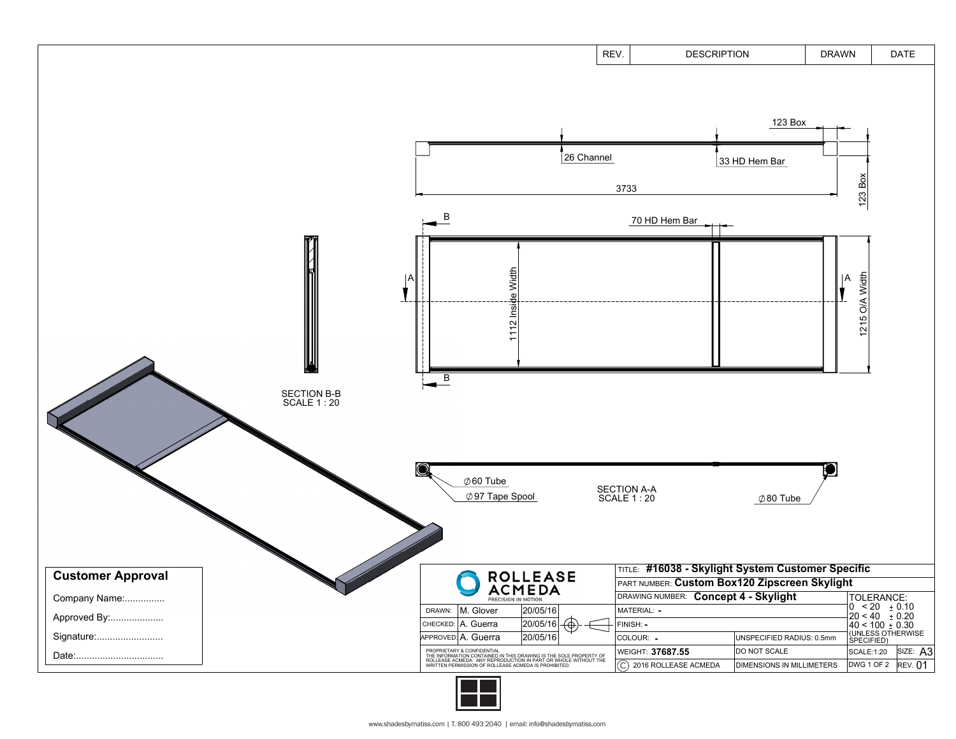